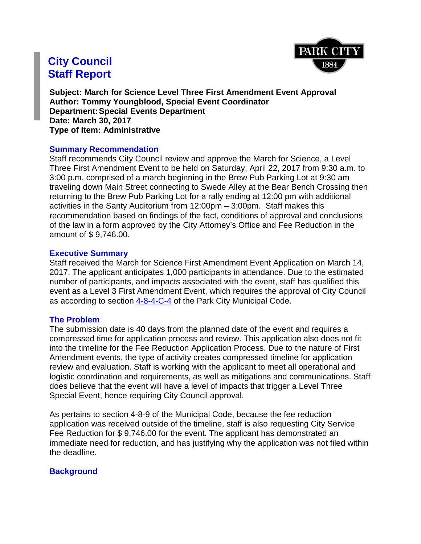

# **City Council Staff Report**

**Subject: March for Science Level Three First Amendment Event Approval Author: Tommy Youngblood, Special Event Coordinator Department:Special Events Department Date: March 30, 2017 Type of Item: Administrative**

#### **Summary Recommendation**

Staff recommends City Council review and approve the March for Science, a Level Three First Amendment Event to be held on Saturday, April 22, 2017 from 9:30 a.m. to 3:00 p.m. comprised of a march beginning in the Brew Pub Parking Lot at 9:30 am traveling down Main Street connecting to Swede Alley at the Bear Bench Crossing then returning to the Brew Pub Parking Lot for a rally ending at 12:00 pm with additional activities in the Santy Auditorium from 12:00pm – 3:00pm. Staff makes this recommendation based on findings of the fact, conditions of approval and conclusions of the law in a form approved by the City Attorney's Office and Fee Reduction in the amount of \$ 9,746.00.

#### **Executive Summary**

Staff received the March for Science First Amendment Event Application on March 14, 2017. The applicant anticipates 1,000 participants in attendance. Due to the estimated number of participants, and impacts associated with the event, staff has qualified this event as a Level 3 First Amendment Event, which requires the approval of City Council as according to section [4-8-4-C-4](https://parkcity.municipalcodeonline.com/book?type=ordinances#name=4-8_Special_Event_Permit) of the Park City Municipal Code.

# **The Problem**

The submission date is 40 days from the planned date of the event and requires a compressed time for application process and review. This application also does not fit into the timeline for the Fee Reduction Application Process. Due to the nature of First Amendment events, the type of activity creates compressed timeline for application review and evaluation. Staff is working with the applicant to meet all operational and logistic coordination and requirements, as well as mitigations and communications. Staff does believe that the event will have a level of impacts that trigger a Level Three Special Event, hence requiring City Council approval.

As pertains to section 4-8-9 of the Municipal Code, because the fee reduction application was received outside of the timeline, staff is also requesting City Service Fee Reduction for \$ 9,746.00 for the event. The applicant has demonstrated an immediate need for reduction, and has justifying why the application was not filed within the deadline.

# **Background**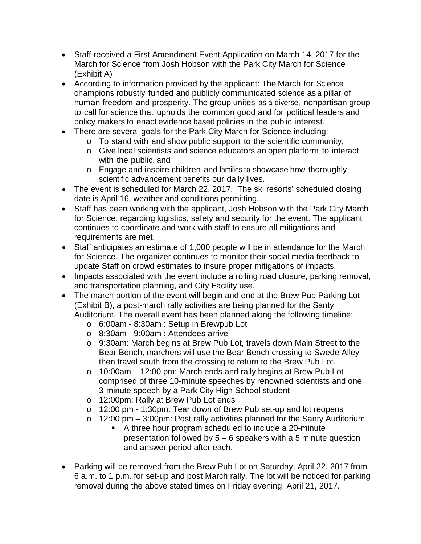- Staff received a First Amendment Event Application on March 14, 2017 for the March for Science from Josh Hobson with the Park City March for Science (Exhibit A)
- According to information provided by the applicant: The March for Science champions robustly funded and publicly communicated science as a pillar of human freedom and prosperity. The group unites as a diverse, nonpartisan group to call for science that upholds the common good and for political leaders and policy makers to enact evidence based policies in the public interest.
- There are several goals for the Park City March for Science including:
	- o To stand with and show public support to the scientific community,
	- o Give local scientists and science educators an open platform to interact with the public, and
	- o Engage and inspire children and families to showcase how thoroughly scientific advancement benefits our daily lives.
- The event is scheduled for March 22, 2017. The ski resorts' scheduled closing date is April 16, weather and conditions permitting.
- Staff has been working with the applicant, Josh Hobson with the Park City March for Science, regarding logistics, safety and security for the event. The applicant continues to coordinate and work with staff to ensure all mitigations and requirements are met.
- Staff anticipates an estimate of 1,000 people will be in attendance for the March for Science. The organizer continues to monitor their social media feedback to update Staff on crowd estimates to insure proper mitigations of impacts.
- Impacts associated with the event include a rolling road closure, parking removal, and transportation planning, and City Facility use.
- The march portion of the event will begin and end at the Brew Pub Parking Lot (Exhibit B), a post-march rally activities are being planned for the Santy Auditorium. The overall event has been planned along the following timeline:
	- o 6:00am 8:30am : Setup in Brewpub Lot
	- o 8:30am 9:00am : Attendees arrive
	- o 9:30am: March begins at Brew Pub Lot, travels down Main Street to the Bear Bench, marchers will use the Bear Bench crossing to Swede Alley then travel south from the crossing to return to the Brew Pub Lot.
	- o 10:00am 12:00 pm: March ends and rally begins at Brew Pub Lot comprised of three 10-minute speeches by renowned scientists and one 3-minute speech by a Park City High School student
	- o 12:00pm: Rally at Brew Pub Lot ends
	- o 12:00 pm 1:30pm: Tear down of Brew Pub set-up and lot reopens
	- o 12:00 pm 3:00pm: Post rally activities planned for the Santy Auditorium
		- A three hour program scheduled to include a 20-minute presentation followed by 5 – 6 speakers with a 5 minute question and answer period after each.
- Parking will be removed from the Brew Pub Lot on Saturday, April 22, 2017 from 6 a.m. to 1 p.m. for set-up and post March rally. The lot will be noticed for parking removal during the above stated times on Friday evening, April 21, 2017.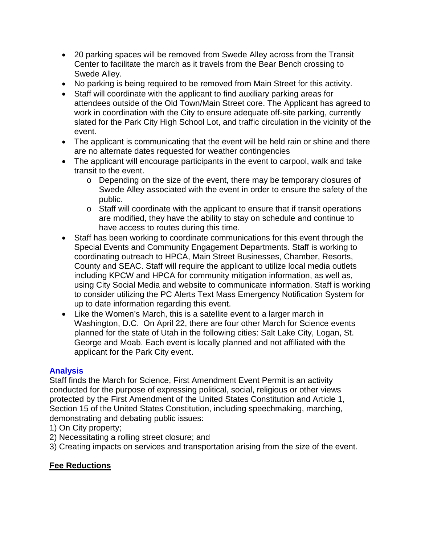- 20 parking spaces will be removed from Swede Alley across from the Transit Center to facilitate the march as it travels from the Bear Bench crossing to Swede Alley.
- No parking is being required to be removed from Main Street for this activity.
- Staff will coordinate with the applicant to find auxiliary parking areas for attendees outside of the Old Town/Main Street core. The Applicant has agreed to work in coordination with the City to ensure adequate off-site parking, currently slated for the Park City High School Lot, and traffic circulation in the vicinity of the event.
- The applicant is communicating that the event will be held rain or shine and there are no alternate dates requested for weather contingencies
- The applicant will encourage participants in the event to carpool, walk and take transit to the event.
	- o Depending on the size of the event, there may be temporary closures of Swede Alley associated with the event in order to ensure the safety of the public.
	- o Staff will coordinate with the applicant to ensure that if transit operations are modified, they have the ability to stay on schedule and continue to have access to routes during this time.
- Staff has been working to coordinate communications for this event through the Special Events and Community Engagement Departments. Staff is working to coordinating outreach to HPCA, Main Street Businesses, Chamber, Resorts, County and SEAC. Staff will require the applicant to utilize local media outlets including KPCW and HPCA for community mitigation information, as well as, using City Social Media and website to communicate information. Staff is working to consider utilizing the PC Alerts Text Mass Emergency Notification System for up to date information regarding this event.
- Like the Women's March, this is a satellite event to a larger march in Washington, D.C. On April 22, there are four other March for Science events planned for the state of Utah in the following cities: Salt Lake City, Logan, St. George and Moab. Each event is locally planned and not affiliated with the applicant for the Park City event.

# **Analysis**

Staff finds the March for Science, First Amendment Event Permit is an activity conducted for the purpose of expressing political, social, religious or other views protected by the First Amendment of the United States Constitution and Article 1, Section 15 of the United States Constitution, including speechmaking, marching, demonstrating and debating public issues:

- 1) On City property;
- 2) Necessitating a rolling street closure; and
- 3) Creating impacts on services and transportation arising from the size of the event.

# **Fee Reductions**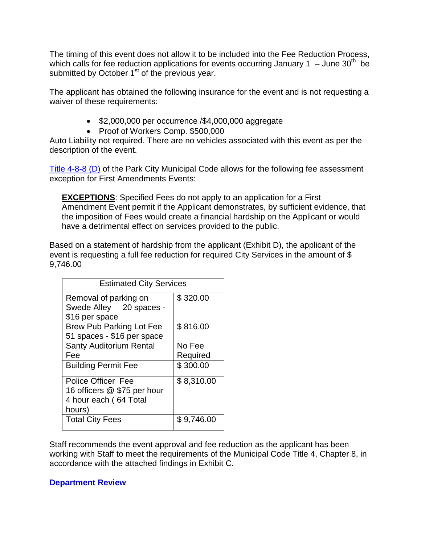The timing of this event does not allow it to be included into the Fee Reduction Process, which calls for fee reduction applications for events occurring January 1 – June 30<sup>th</sup> be submitted by October 1<sup>st</sup> of the previous year.

The applicant has obtained the following insurance for the event and is not requesting a waiver of these requirements:

- \$2,000,000 per occurrence /\$4,000,000 aggregate
- Proof of Workers Comp. \$500,000

Auto Liability not required. There are no vehicles associated with this event as per the description of the event.

Title [4-8-8 \(D\)](https://parkcity.municipalcodeonline.com/book?type=ordinances#name=4-8-8_Fees_To_Be_Assessed;_Exceptions) of the Park City Municipal Code allows for the following fee assessment exception for First Amendments Events:

**EXCEPTIONS**: Specified Fees do not apply to an application for a First Amendment Event permit if the Applicant demonstrates, by sufficient evidence, that the imposition of Fees would create a financial hardship on the Applicant or would have a detrimental effect on services provided to the public.

Based on a statement of hardship from the applicant (Exhibit D), the applicant of the event is requesting a full fee reduction for required City Services in the amount of \$ 9,746.00

| <b>Estimated City Services</b>                                                              |                    |
|---------------------------------------------------------------------------------------------|--------------------|
| Removal of parking on<br>Swede Alley 20 spaces -                                            | \$320.00           |
| \$16 per space<br><b>Brew Pub Parking Lot Fee</b><br>51 spaces - \$16 per space             | \$816.00           |
| <b>Santy Auditorium Rental</b><br>Fee                                                       | No Fee<br>Required |
| <b>Building Permit Fee</b>                                                                  | \$300.00           |
| <b>Police Officer Fee</b><br>16 officers @ \$75 per hour<br>4 hour each (64 Total<br>hours) | \$8,310.00         |
| <b>Total City Fees</b>                                                                      | \$9,746.00         |

Staff recommends the event approval and fee reduction as the applicant has been working with Staff to meet the requirements of the Municipal Code Title 4, Chapter 8, in accordance with the attached findings in Exhibit C.

# **Department Review**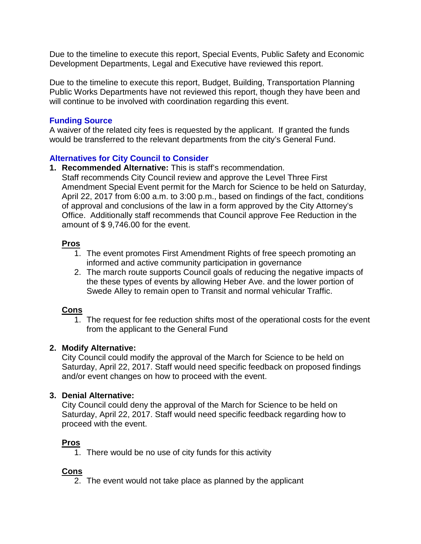Due to the timeline to execute this report, Special Events, Public Safety and Economic Development Departments, Legal and Executive have reviewed this report.

Due to the timeline to execute this report, Budget, Building, Transportation Planning Public Works Departments have not reviewed this report, though they have been and will continue to be involved with coordination regarding this event.

# **Funding Source**

A waiver of the related city fees is requested by the applicant. If granted the funds would be transferred to the relevant departments from the city's General Fund.

# **Alternatives for City Council to Consider**

**1. Recommended Alternative:** This is staff's recommendation. Staff recommends City Council review and approve the Level Three First Amendment Special Event permit for the March for Science to be held on Saturday, April 22, 2017 from 6:00 a.m. to 3:00 p.m., based on findings of the fact, conditions of approval and conclusions of the law in a form approved by the City Attorney's Office. Additionally staff recommends that Council approve Fee Reduction in the amount of \$ 9,746.00 for the event.

# **Pros**

- 1. The event promotes First Amendment Rights of free speech promoting an informed and active community participation in governance
- 2. The march route supports Council goals of reducing the negative impacts of the these types of events by allowing Heber Ave. and the lower portion of Swede Alley to remain open to Transit and normal vehicular Traffic.

# **Cons**

1. The request for fee reduction shifts most of the operational costs for the event from the applicant to the General Fund

# **2. Modify Alternative:**

City Council could modify the approval of the March for Science to be held on Saturday, April 22, 2017. Staff would need specific feedback on proposed findings and/or event changes on how to proceed with the event.

# **3. Denial Alternative:**

City Council could deny the approval of the March for Science to be held on Saturday, April 22, 2017. Staff would need specific feedback regarding how to proceed with the event.

# **Pros**

1. There would be no use of city funds for this activity

# **Cons**

2. The event would not take place as planned by the applicant